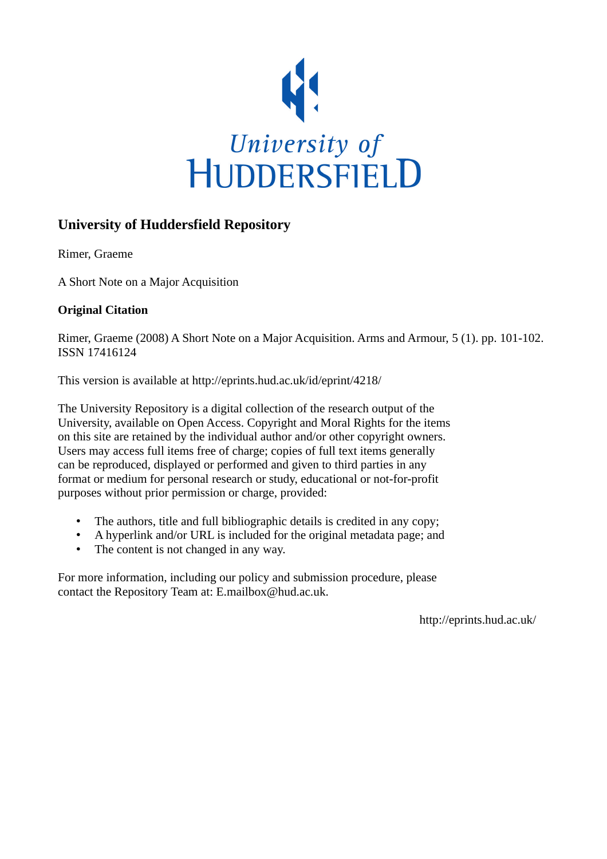

## **University of Huddersfield Repository**

Rimer, Graeme

A Short Note on a Major Acquisition

## **Original Citation**

Rimer, Graeme (2008) A Short Note on a Major Acquisition. Arms and Armour, 5 (1). pp. 101-102. ISSN 17416124

This version is available at http://eprints.hud.ac.uk/id/eprint/4218/

The University Repository is a digital collection of the research output of the University, available on Open Access. Copyright and Moral Rights for the items on this site are retained by the individual author and/or other copyright owners. Users may access full items free of charge; copies of full text items generally can be reproduced, displayed or performed and given to third parties in any format or medium for personal research or study, educational or not-for-profit purposes without prior permission or charge, provided:

- The authors, title and full bibliographic details is credited in any copy;
- A hyperlink and/or URL is included for the original metadata page; and
- The content is not changed in any way.

For more information, including our policy and submission procedure, please contact the Repository Team at: E.mailbox@hud.ac.uk.

http://eprints.hud.ac.uk/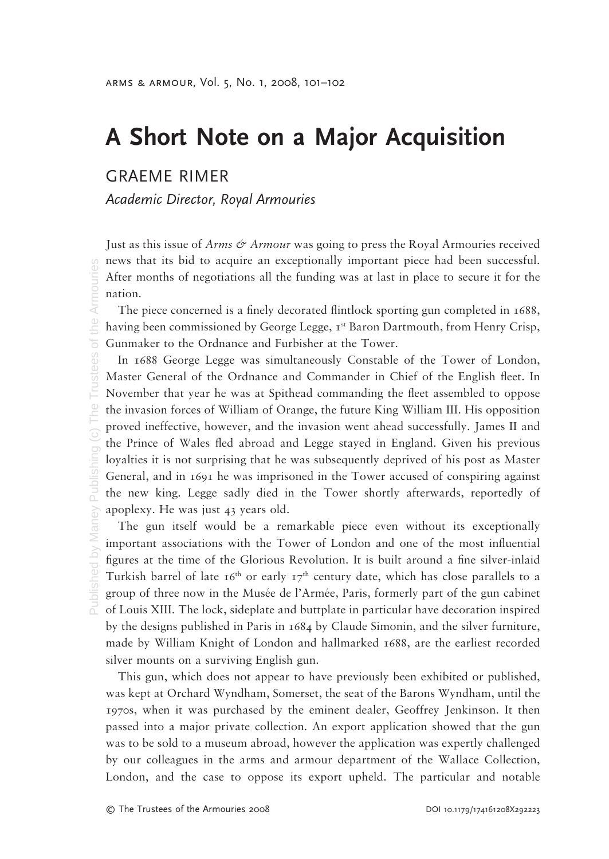## **A Short Note on a Major Acquisition**

GRAEME RIMER

*Academic Director, Royal Armouries*

Just as this issue of *Arms & Armour* was going to press the Royal Armouries received news that its bid to acquire an exceptionally important piece had been successful. After months of negotiations all the funding was at last in place to secure it for the nation.

The piece concerned is a finely decorated flintlock sporting gun completed in 1688, having been commissioned by George Legge,  $I^{st}$  Baron Dartmouth, from Henry Crisp, Gunmaker to the Ordnance and Furbisher at the Tower.

In 1688 George Legge was simultaneously Constable of the Tower of London, Master General of the Ordnance and Commander in Chief of the English fleet. In November that year he was at Spithead commanding the fleet assembled to oppose the invasion forces of William of Orange, the future King William III. His opposition proved ineffective, however, and the invasion went ahead successfully. James II and the Prince of Wales fled abroad and Legge stayed in England. Given his previous loyalties it is not surprising that he was subsequently deprived of his post as Master General, and in 1691 he was imprisoned in the Tower accused of conspiring against the new king. Legge sadly died in the Tower shortly afterwards, reportedly of apoplexy. He was just 43 years old.

The gun itself would be a remarkable piece even without its exceptionally important associations with the Tower of London and one of the most influential figures at the time of the Glorious Revolution. It is built around a fine silver-inlaid Turkish barrel of late  $16<sup>th</sup>$  or early  $17<sup>th</sup>$  century date, which has close parallels to a group of three now in the Musée de l'Armée, Paris, formerly part of the gun cabinet of Louis XIII. The lock, sideplate and buttplate in particular have decoration inspired by the designs published in Paris in 1684 by Claude Simonin, and the silver furniture, made by William Knight of London and hallmarked 1688, are the earliest recorded silver mounts on a surviving English gun.

This gun, which does not appear to have previously been exhibited or published, was kept at Orchard Wyndham, Somerset, the seat of the Barons Wyndham, until the 1970s, when it was purchased by the eminent dealer, Geoffrey Jenkinson. It then passed into a major private collection. An export application showed that the gun was to be sold to a museum abroad, however the application was expertly challenged by our colleagues in the arms and armour department of the Wallace Collection, London, and the case to oppose its export upheld. The particular and notable